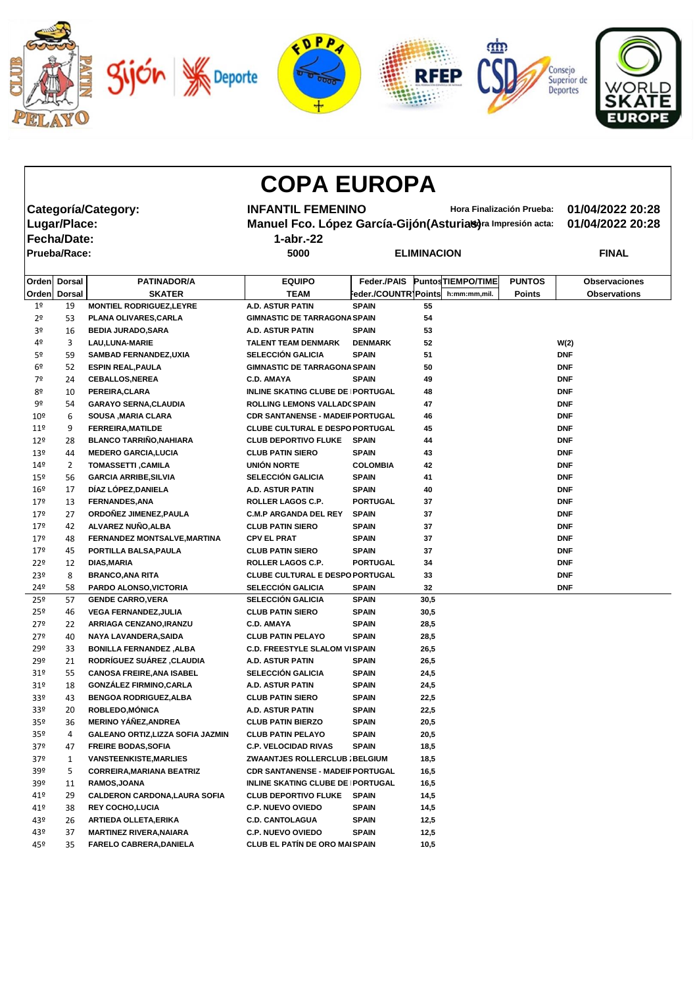

|                 |                     |                                          | <b>COPA EUROPA</b>                                          |                           |      |                    |                  |                      |
|-----------------|---------------------|------------------------------------------|-------------------------------------------------------------|---------------------------|------|--------------------|------------------|----------------------|
|                 |                     | <b>Categoría/Category:</b>               | <b>INFANTIL FEMENINO</b>                                    | Hora Finalización Prueba: |      |                    | 01/04/2022 20:28 |                      |
|                 |                     |                                          |                                                             |                           |      |                    |                  |                      |
|                 | Lugar/Place:        |                                          | Manuel Fco. López García-Gijón (Asturias)ra Impresión acta: |                           |      |                    |                  | 01/04/2022 20:28     |
|                 | <b>Fecha/Date:</b>  |                                          | $1$ -abr.-22                                                |                           |      |                    |                  |                      |
|                 | <b>Prueba/Race:</b> |                                          | 5000                                                        | <b>ELIMINACION</b>        |      |                    | <b>FINAL</b>     |                      |
| Orden           | <b>Dorsal</b>       | <b>PATINADOR/A</b>                       | <b>EQUIPO</b>                                               | <b>Feder./PAIS</b>        |      | Puntos TIEMPO/TIME | <b>PUNTOS</b>    | <b>Observaciones</b> |
| Orden           | <b>Dorsal</b>       | <b>SKATER</b>                            | <b>TEAM</b>                                                 | Feder./COUNTR]Points      |      | h:mm:mm,mil.       | <b>Points</b>    | <b>Observations</b>  |
| 1 <sup>o</sup>  | 19                  | <b>MONTIEL RODRIGUEZ, LEYRE</b>          | <b>A.D. ASTUR PATIN</b>                                     | <b>SPAIN</b>              | 55   |                    |                  |                      |
| 2 <sup>o</sup>  | 53                  | PLANA OLIVARES, CARLA                    | <b>GIMNASTIC DE TARRAGONA SPAIN</b>                         |                           | 54   |                    |                  |                      |
| 3º              | 16                  | <b>BEDIA JURADO, SARA</b>                | A.D. ASTUR PATIN                                            | <b>SPAIN</b>              | 53   |                    |                  |                      |
| 4º              | 3                   | <b>LAU, LUNA-MARIE</b>                   | <b>TALENT TEAM DENMARK</b>                                  | <b>DENMARK</b>            | 52   |                    |                  | W(2)                 |
| 5º              | 59                  | <b>SAMBAD FERNANDEZ, UXIA</b>            | <b>SELECCIÓN GALICIA</b>                                    | <b>SPAIN</b>              | 51   |                    |                  | <b>DNF</b>           |
| 6º              | 52                  | <b>ESPIN REAL, PAULA</b>                 | <b>GIMNASTIC DE TARRAGONA SPAIN</b>                         |                           | 50   |                    |                  | <b>DNF</b>           |
| 7º              | 24                  | <b>CEBALLOS, NEREA</b>                   | <b>C.D. AMAYA</b>                                           | <b>SPAIN</b>              | 49   |                    |                  | <b>DNF</b>           |
| 8º              | 10                  | PEREIRA, CLARA                           | INLINE SKATING CLUBE DE   PORTUGAL                          |                           | 48   |                    |                  | <b>DNF</b>           |
| 9º              | 54                  | <b>GARAYO SERNA, CLAUDIA</b>             | <b>ROLLING LEMONS VALLADC SPAIN</b>                         |                           | 47   |                    |                  | <b>DNF</b>           |
| $10^{9}$        | 6                   | <b>SOUSA , MARIA CLARA</b>               | <b>CDR SANTANENSE - MADEIF PORTUGAL</b>                     |                           | 46   |                    |                  | <b>DNF</b>           |
| 11 <sup>9</sup> | 9                   | <b>FERREIRA, MATILDE</b>                 | <b>CLUBE CULTURAL E DESPO PORTUGAL</b>                      |                           | 45   |                    |                  | <b>DNF</b>           |
| 12 <sup>°</sup> | 28                  | <b>BLANCO TARRIÑO, NAHIARA</b>           | <b>CLUB DEPORTIVO FLUKE</b>                                 | <b>SPAIN</b>              | 44   |                    |                  | <b>DNF</b>           |
| 13 <sup>°</sup> | 44                  | <b>MEDERO GARCIA, LUCIA</b>              | <b>CLUB PATIN SIERO</b>                                     | <b>SPAIN</b>              | 43   |                    |                  | <b>DNF</b>           |
| 14 <sup>°</sup> | 2                   | <b>TOMASSETTI, CAMILA</b>                | UNIÓN NORTE                                                 | <b>COLOMBIA</b>           | 42   |                    |                  | <b>DNF</b>           |
| 15 <sup>°</sup> | 56                  | <b>GARCIA ARRIBE, SILVIA</b>             | <b>SELECCIÓN GALICIA</b>                                    | <b>SPAIN</b>              | 41   |                    |                  | <b>DNF</b>           |
| 16 <sup>°</sup> | 17                  | DÍAZ LÓPEZ, DANIELA                      | <b>A.D. ASTUR PATIN</b>                                     | <b>SPAIN</b>              | 40   |                    |                  | <b>DNF</b>           |
| 179             | 13                  | <b>FERNANDES, ANA</b>                    | <b>ROLLER LAGOS C.P.</b>                                    | <b>PORTUGAL</b>           | 37   |                    |                  | <b>DNF</b>           |
| 179             | 27                  | ORDOÑEZ JIMENEZ, PAULA                   | <b>C.M.P ARGANDA DEL REY</b>                                | <b>SPAIN</b>              | 37   |                    |                  | <b>DNF</b>           |
| 17 <sup>°</sup> | 42                  | ALVAREZ NUÑO, ALBA                       | <b>CLUB PATIN SIERO</b>                                     | <b>SPAIN</b>              | 37   |                    |                  | <b>DNF</b>           |
| 179             | 48                  | FERNANDEZ MONTSALVE, MARTINA             | <b>CPV EL PRAT</b>                                          | <b>SPAIN</b>              | 37   |                    |                  | <b>DNF</b>           |
| $17^{\circ}$    | 45                  | PORTILLA BALSA, PAULA                    | <b>CLUB PATIN SIERO</b>                                     | <b>SPAIN</b>              | 37   |                    |                  | <b>DNF</b>           |
| 22°             | 12                  | <b>DIAS, MARIA</b>                       | ROLLER LAGOS C.P.                                           | <b>PORTUGAL</b>           | 34   |                    |                  | <b>DNF</b>           |
| 23º             | 8                   | <b>BRANCO, ANA RITA</b>                  | <b>CLUBE CULTURAL E DESPO PORTUGAL</b>                      |                           | 33   |                    |                  | <b>DNF</b>           |
| 24 <sup>°</sup> | 58                  | PARDO ALONSO, VICTORIA                   | <b>SELECCIÓN GALICIA</b>                                    | <b>SPAIN</b>              | 32   |                    |                  | <b>DNF</b>           |
| 25 <sup>°</sup> | 57                  | <b>GENDE CARRO, VERA</b>                 | <b>SELECCIÓN GALICIA</b>                                    | <b>SPAIN</b>              | 30,5 |                    |                  |                      |
| 25 <sup>°</sup> | 46                  | <b>VEGA FERNANDEZ, JULIA</b>             | <b>CLUB PATIN SIERO</b>                                     | <b>SPAIN</b>              | 30,5 |                    |                  |                      |
| $27^{\circ}$    | 22                  | ARRIAGA CENZANO, IRANZU                  | <b>C.D. AMAYA</b>                                           | <b>SPAIN</b>              | 28,5 |                    |                  |                      |
| $27^{\circ}$    | 40                  | NAYA LAVANDERA, SAIDA                    | <b>CLUB PATIN PELAYO</b>                                    | <b>SPAIN</b>              | 28,5 |                    |                  |                      |
| 29º             | 33                  | <b>BONILLA FERNANDEZ, ALBA</b>           | <b>C.D. FREESTYLE SLALOM VISPAIN</b>                        |                           | 26,5 |                    |                  |                      |
| 29º             | 21                  | <b>RODRÍGUEZ SUÁREZ , CLAUDIA</b>        | <b>A.D. ASTUR PATIN</b>                                     | <b>SPAIN</b>              | 26,5 |                    |                  |                      |
| 31 <sup>o</sup> | 55                  | <b>CANOSA FREIRE, ANA ISABEL</b>         | <b>SELECCIÓN GALICIA</b>                                    | <b>SPAIN</b>              | 24,5 |                    |                  |                      |
| 31 <sup>o</sup> | 18                  | <b>GONZÁLEZ FIRMINO, CARLA</b>           | <b>A.D. ASTUR PATIN</b>                                     | <b>SPAIN</b>              | 24,5 |                    |                  |                      |
| 33 <sup>o</sup> | 43                  | <b>BENGOA RODRIGUEZ, ALBA</b>            | <b>CLUB PATIN SIERO</b>                                     | <b>SPAIN</b>              | 22,5 |                    |                  |                      |
| 33 <sup>o</sup> | 20                  | ROBLEDO, MÓNICA                          | <b>A.D. ASTUR PATIN</b>                                     | <b>SPAIN</b>              | 22,5 |                    |                  |                      |
| 35 <sup>o</sup> | 36                  | <b>MERINO YÁÑEZ, ANDREA</b>              | <b>CLUB PATIN BIERZO</b>                                    | <b>SPAIN</b>              | 20,5 |                    |                  |                      |
| 35 <sup>o</sup> | 4                   | <b>GALEANO ORTIZ, LIZZA SOFIA JAZMIN</b> | <b>CLUB PATIN PELAYO</b>                                    | <b>SPAIN</b>              | 20,5 |                    |                  |                      |
| 37 <sup>°</sup> | 47                  | <b>FREIRE BODAS, SOFIA</b>               | <b>C.P. VELOCIDAD RIVAS</b>                                 | <b>SPAIN</b>              | 18,5 |                    |                  |                      |
| 37 <sup>°</sup> | 1                   | <b>VANSTEENKISTE, MARLIES</b>            | ZWAANTJES ROLLERCLUB ; BELGIUM                              |                           | 18,5 |                    |                  |                      |
| 39º             | 5                   | <b>CORREIRA, MARIANA BEATRIZ</b>         | <b>CDR SANTANENSE - MADEIF PORTUGAL</b>                     |                           | 16,5 |                    |                  |                      |
| 39º             | 11                  | RAMOS, JOANA                             | INLINE SKATING CLUBE DE   PORTUGAL                          |                           | 16,5 |                    |                  |                      |
| 41º             | 29                  | <b>CALDERON CARDONA, LAURA SOFIA</b>     | <b>CLUB DEPORTIVO FLUKE</b>                                 | <b>SPAIN</b>              | 14,5 |                    |                  |                      |
| 41º             | 38                  | <b>REY COCHO, LUCIA</b>                  | <b>C.P. NUEVO OVIEDO</b>                                    | <b>SPAIN</b>              | 14,5 |                    |                  |                      |
| 43º             | 26                  | <b>ARTIEDA OLLETA, ERIKA</b>             | <b>C.D. CANTOLAGUA</b>                                      | <b>SPAIN</b>              | 12,5 |                    |                  |                      |
| 43º             | 37                  | <b>MARTINEZ RIVERA, NAIARA</b>           | <b>C.P. NUEVO OVIEDO</b>                                    | <b>SPAIN</b>              | 12,5 |                    |                  |                      |
| 45º             | 35                  | <b>FARELO CABRERA, DANIELA</b>           | <b>CLUB EL PATÍN DE ORO MAI SPAIN</b>                       |                           | 10,5 |                    |                  |                      |